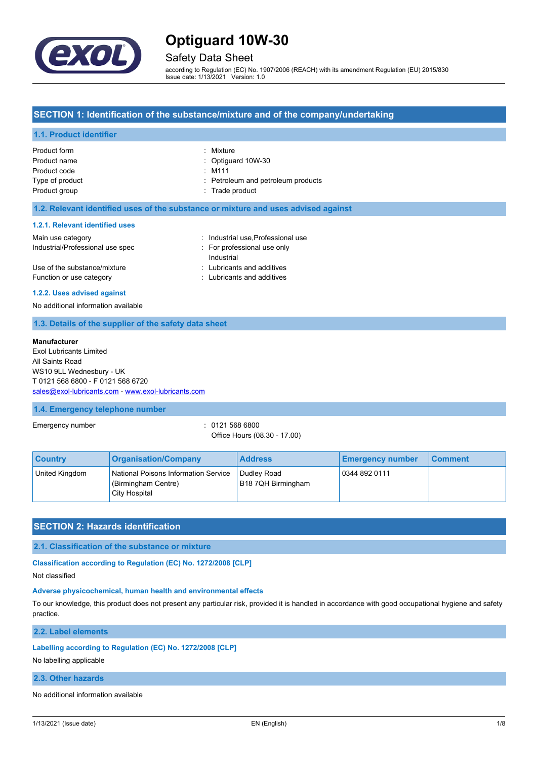

## Safety Data Sheet

according to Regulation (EC) No. 1907/2006 (REACH) with its amendment Regulation (EU) 2015/830 Issue date: 1/13/2021 Version: 1.0

### **SECTION 1: Identification of the substance/mixture and of the company/undertaking**

### **1.1. Product identifier**

| Product form    | : Mixture                          |
|-----------------|------------------------------------|
| Product name    | : Optiquard 10W-30                 |
| Product code    | $:$ M111                           |
| Type of product | : Petroleum and petroleum products |
| Product group   | : Trade product                    |
|                 |                                    |

#### **1.2. Relevant identified uses of the substance or mixture and uses advised against**

#### **1.2.1. Relevant identified uses**

| Main use category                | Industrial use, Professional use |
|----------------------------------|----------------------------------|
| Industrial/Professional use spec | For professional use only        |
|                                  | Industrial                       |
| Use of the substance/mixture     | : Lubricants and additives       |
| Function or use category         | : Lubricants and additives       |

#### **1.2.2. Uses advised against**

No additional information available

#### **1.3. Details of the supplier of the safety data sheet**

#### **Manufacturer**

Exol Lubricants Limited All Saints Road WS10 9LL Wednesbury - UK T 0121 568 6800 - F 0121 568 6720 [sales@exol-lubricants.com](mailto:sales@exol-lubricants.com) - <www.exol-lubricants.com>

#### **1.4. Emergency telephone number**

Emergency number  $\sim$  0121 568 6800

Office Hours (08.30 - 17.00)

| <b>Country</b> | <b>Organisation/Company</b>                                                  | <b>Address</b>                    | <b>Emergency number</b> | <b>Comment</b> |
|----------------|------------------------------------------------------------------------------|-----------------------------------|-------------------------|----------------|
| United Kingdom | National Poisons Information Service<br>(Birmingham Centre)<br>City Hospital | Dudley Road<br>B18 7QH Birmingham | 0344 892 0111           |                |

## **SECTION 2: Hazards identification**

**2.1. Classification of the substance or mixture**

**Classification according to Regulation (EC) No. 1272/2008 [CLP]**

Not classified

## **Adverse physicochemical, human health and environmental effects**

To our knowledge, this product does not present any particular risk, provided it is handled in accordance with good occupational hygiene and safety practice.

**2.2. Label elements**

#### **Labelling according to Regulation (EC) No. 1272/2008 [CLP]**

No labelling applicable

## **2.3. Other hazards**

No additional information available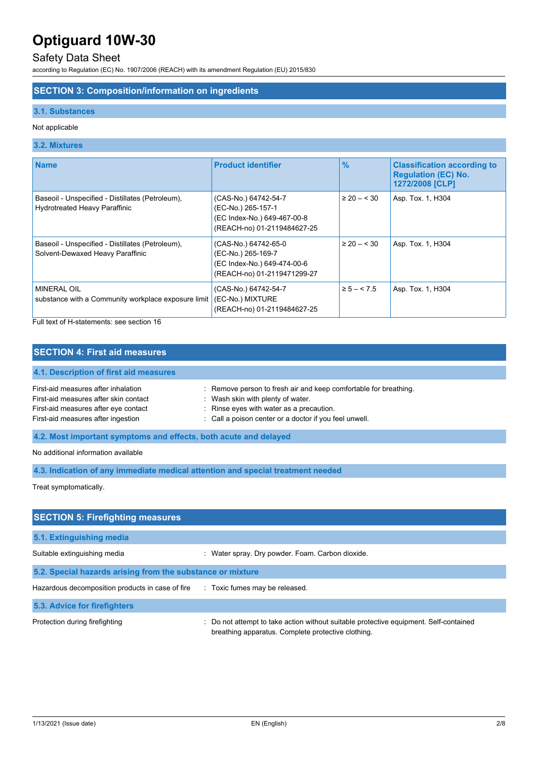# Safety Data Sheet

according to Regulation (EC) No. 1907/2006 (REACH) with its amendment Regulation (EU) 2015/830

### **SECTION 3: Composition/information on ingredients**

#### **3.1. Substances**

### Not applicable

## **3.2. Mixtures**

| <b>Name</b>                                                                              | <b>Product identifier</b>                                                                                | $\frac{9}{6}$   | <b>Classification according to</b><br><b>Regulation (EC) No.</b><br>1272/2008 [CLP] |
|------------------------------------------------------------------------------------------|----------------------------------------------------------------------------------------------------------|-----------------|-------------------------------------------------------------------------------------|
| Baseoil - Unspecified - Distillates (Petroleum),<br><b>Hydrotreated Heavy Paraffinic</b> | (CAS-No.) 64742-54-7<br>(EC-No.) 265-157-1<br>(EC Index-No.) 649-467-00-8<br>(REACH-no) 01-2119484627-25 | $\geq 20 - 530$ | Asp. Tox. 1, H304                                                                   |
| Baseoil - Unspecified - Distillates (Petroleum),<br>Solvent-Dewaxed Heavy Paraffinic     | (CAS-No.) 64742-65-0<br>(EC-No.) 265-169-7<br>(EC Index-No.) 649-474-00-6<br>(REACH-no) 01-2119471299-27 | $\geq 20 - 530$ | Asp. Tox. 1, H304                                                                   |
| <b>MINERAL OIL</b><br>substance with a Community workplace exposure limit                | (CAS-No.) 64742-54-7<br>(EC-No.) MIXTURE<br>(REACH-no) 01-2119484627-25                                  | $\ge 5 - < 7.5$ | Asp. Tox. 1, H304                                                                   |

Full text of H-statements: see section 16

# **SECTION 4: First aid measures**

# **4.1. Description of first aid measures**

| First-aid measures after inhalation   | : Remove person to fresh air and keep comfortable for breathing. |
|---------------------------------------|------------------------------------------------------------------|
| First-aid measures after skin contact | : Wash skin with plenty of water.                                |
| First-aid measures after eye contact  | $\therefore$ Rinse eyes with water as a precaution.              |
| First-aid measures after ingestion    | : Call a poison center or a doctor if you feel unwell.           |

## **4.2. Most important symptoms and effects, both acute and delayed**

No additional information available

**4.3. Indication of any immediate medical attention and special treatment needed**

Treat symptomatically.

| <b>SECTION 5: Firefighting measures</b>                    |                                                                                                                                             |
|------------------------------------------------------------|---------------------------------------------------------------------------------------------------------------------------------------------|
| 5.1. Extinguishing media                                   |                                                                                                                                             |
| Suitable extinguishing media                               | : Water spray. Dry powder. Foam. Carbon dioxide.                                                                                            |
| 5.2. Special hazards arising from the substance or mixture |                                                                                                                                             |
| Hazardous decomposition products in case of fire           | : Toxic fumes may be released.                                                                                                              |
| 5.3. Advice for firefighters                               |                                                                                                                                             |
| Protection during firefighting                             | : Do not attempt to take action without suitable protective equipment. Self-contained<br>breathing apparatus. Complete protective clothing. |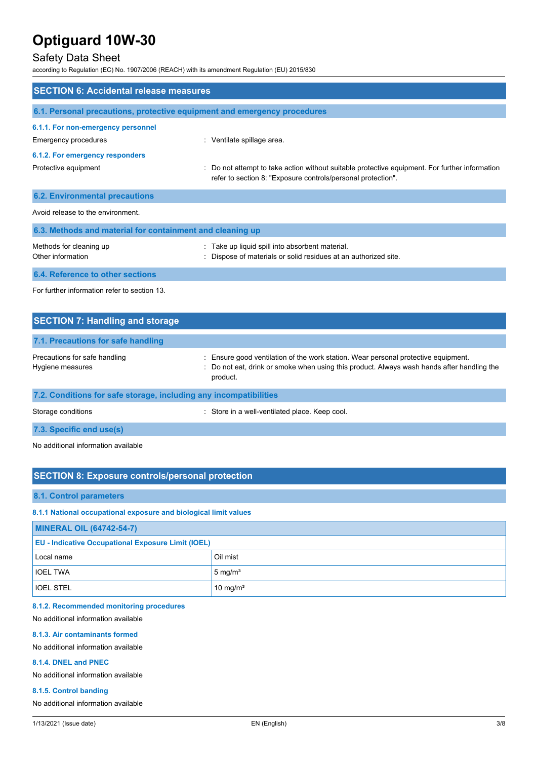# Safety Data Sheet

according to Regulation (EC) No. 1907/2006 (REACH) with its amendment Regulation (EU) 2015/830

| <b>SECTION 6: Accidental release measures</b>                            |                                                                                                                                                              |  |  |
|--------------------------------------------------------------------------|--------------------------------------------------------------------------------------------------------------------------------------------------------------|--|--|
| 6.1. Personal precautions, protective equipment and emergency procedures |                                                                                                                                                              |  |  |
| 6.1.1. For non-emergency personnel<br>Emergency procedures               | : Ventilate spillage area.                                                                                                                                   |  |  |
| 6.1.2. For emergency responders                                          |                                                                                                                                                              |  |  |
| Protective equipment                                                     | Do not attempt to take action without suitable protective equipment. For further information<br>refer to section 8: "Exposure controls/personal protection". |  |  |
| <b>6.2. Environmental precautions</b>                                    |                                                                                                                                                              |  |  |
| Avoid release to the environment                                         |                                                                                                                                                              |  |  |
| 6.3. Methods and material for containment and cleaning up                |                                                                                                                                                              |  |  |
| Methods for cleaning up<br>Other information                             | : Take up liquid spill into absorbent material.<br>Dispose of materials or solid residues at an authorized site.                                             |  |  |
| 6.4. Reference to other sections                                         |                                                                                                                                                              |  |  |
| For further information refer to section 13                              |                                                                                                                                                              |  |  |

| <b>SECTION 7: Handling and storage</b>                            |                                                                                                                                                                                              |
|-------------------------------------------------------------------|----------------------------------------------------------------------------------------------------------------------------------------------------------------------------------------------|
| 7.1. Precautions for safe handling                                |                                                                                                                                                                                              |
| Precautions for safe handling<br>Hygiene measures                 | : Ensure good ventilation of the work station. Wear personal protective equipment.<br>: Do not eat, drink or smoke when using this product. Always wash hands after handling the<br>product. |
| 7.2. Conditions for safe storage, including any incompatibilities |                                                                                                                                                                                              |
| Storage conditions                                                | : Store in a well-ventilated place. Keep cool.                                                                                                                                               |

**7.3. Specific end use(s)**

No additional information available

# **SECTION 8: Exposure controls/personal protection**

#### **8.1. Control parameters**

**8.1.1 National occupational exposure and biological limit values**

| <b>MINERAL OIL (64742-54-7)</b>                           |                    |  |
|-----------------------------------------------------------|--------------------|--|
| <b>EU - Indicative Occupational Exposure Limit (IOEL)</b> |                    |  |
| Local name                                                | Oil mist           |  |
| <b>IOEL TWA</b>                                           | $5 \text{ mg/m}^3$ |  |
| <b>IOEL STEL</b>                                          | 10 mg/ $m3$        |  |

## **8.1.2. Recommended monitoring procedures**

No additional information available

#### **8.1.3. Air contaminants formed**

No additional information available

### **8.1.4. DNEL and PNEC**

No additional information available

#### **8.1.5. Control banding**

No additional information available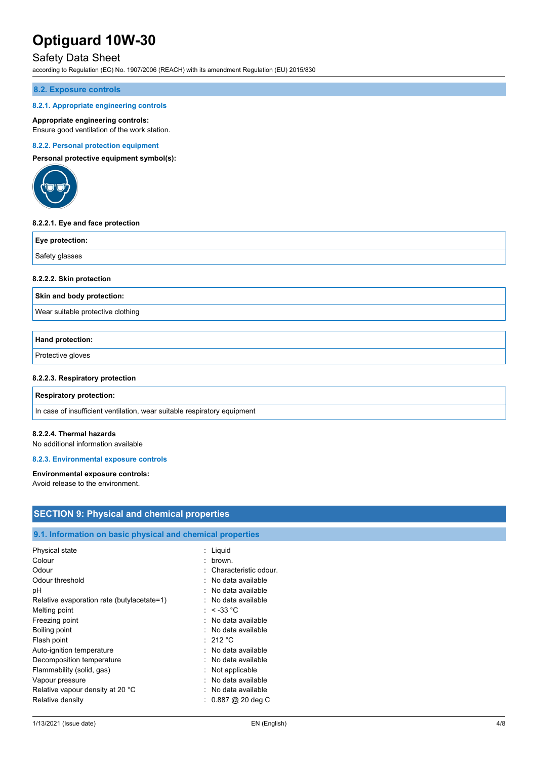# Safety Data Sheet

according to Regulation (EC) No. 1907/2006 (REACH) with its amendment Regulation (EU) 2015/830

#### **8.2. Exposure controls**

#### **8.2.1. Appropriate engineering controls**

#### **Appropriate engineering controls:**

Ensure good ventilation of the work station.

#### **8.2.2. Personal protection equipment**

**Personal protective equipment symbol(s):**



#### **8.2.2.1. Eye and face protection**

| Eye protection: |  |
|-----------------|--|
| Safety glasses  |  |

#### **8.2.2.2. Skin protection**

**Skin and body protection:**

Wear suitable protective clothing

## **Hand protection:**

Protective gloves

#### **8.2.2.3. Respiratory protection**

#### **Respiratory protection:**

In case of insufficient ventilation, wear suitable respiratory equipment

#### **8.2.2.4. Thermal hazards**

No additional information available

#### **8.2.3. Environmental exposure controls**

#### **Environmental exposure controls:**

Avoid release to the environment.

| <b>SECTION 9: Physical and chemical properties</b>         |                                |
|------------------------------------------------------------|--------------------------------|
|                                                            |                                |
| 9.1. Information on basic physical and chemical properties |                                |
| Physical state                                             | : Liquid                       |
| Colour                                                     | : brown.                       |
| Odour                                                      | : Characteristic odour.        |
| Odour threshold                                            | No data available              |
| рH                                                         | : No data available            |
| Relative evaporation rate (butylacetate=1)                 | : No data available            |
| Melting point                                              | : $< -33$ °C                   |
| Freezing point                                             | : No data available            |
| Boiling point                                              | : No data available            |
| Flash point                                                | : 212 °C                       |
| Auto-ignition temperature                                  | No data available              |
| Decomposition temperature                                  | No data available<br>÷         |
| Flammability (solid, gas)                                  | Not applicable                 |
| Vapour pressure                                            | No data available<br>$\bullet$ |
| Relative vapour density at 20 °C                           | No data available              |
| Relative density                                           | $: 0.887 @ 20$ deg C           |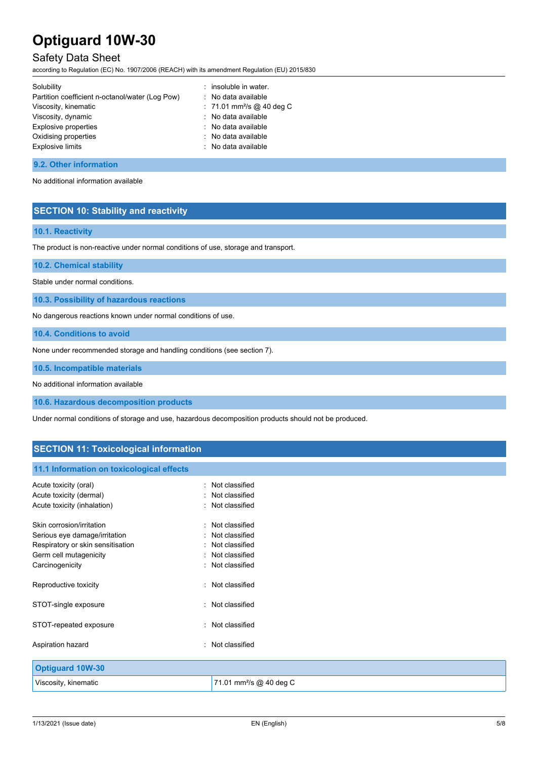# Safety Data Sheet

according to Regulation (EC) No. 1907/2006 (REACH) with its amendment Regulation (EU) 2015/830

| Solubility                                      | : insoluble in water.                 |
|-------------------------------------------------|---------------------------------------|
| Partition coefficient n-octanol/water (Log Pow) | : No data available                   |
| Viscosity, kinematic                            | : 71.01 mm <sup>2</sup> /s @ 40 deg C |
| Viscosity, dynamic                              | : No data available                   |
| Explosive properties                            | : No data available                   |
| Oxidising properties                            | : No data available                   |
| <b>Explosive limits</b>                         | : No data available                   |
|                                                 |                                       |

#### **9.2. Other information**

No additional information available

# **SECTION 10: Stability and reactivity**

### **10.1. Reactivity**

The product is non-reactive under normal conditions of use, storage and transport.

**10.2. Chemical stability**

Stable under normal conditions.

**10.3. Possibility of hazardous reactions**

No dangerous reactions known under normal conditions of use.

**10.4. Conditions to avoid**

None under recommended storage and handling conditions (see section 7).

**10.5. Incompatible materials**

No additional information available

**10.6. Hazardous decomposition products**

Under normal conditions of storage and use, hazardous decomposition products should not be produced.

# **SECTION 11: Toxicological information**

### **11.1 Information on toxicological effects**

| Acute toxicity (oral)             | : Not classified                    |
|-----------------------------------|-------------------------------------|
| Acute toxicity (dermal)           | : Not classified                    |
| Acute toxicity (inhalation)       | : Not classified                    |
| Skin corrosion/irritation         | : Not classified                    |
| Serious eye damage/irritation     | Not classified                      |
| Respiratory or skin sensitisation | : Not classified                    |
| Germ cell mutagenicity            | Not classified                      |
| Carcinogenicity                   | : Not classified                    |
| Reproductive toxicity             | : Not classified                    |
| STOT-single exposure              | : Not classified                    |
| STOT-repeated exposure            | : Not classified                    |
| Aspiration hazard                 | : Not classified                    |
| <b>Optiguard 10W-30</b>           |                                     |
| Viscosity, kinematic              | 71.01 mm <sup>2</sup> /s @ 40 deg C |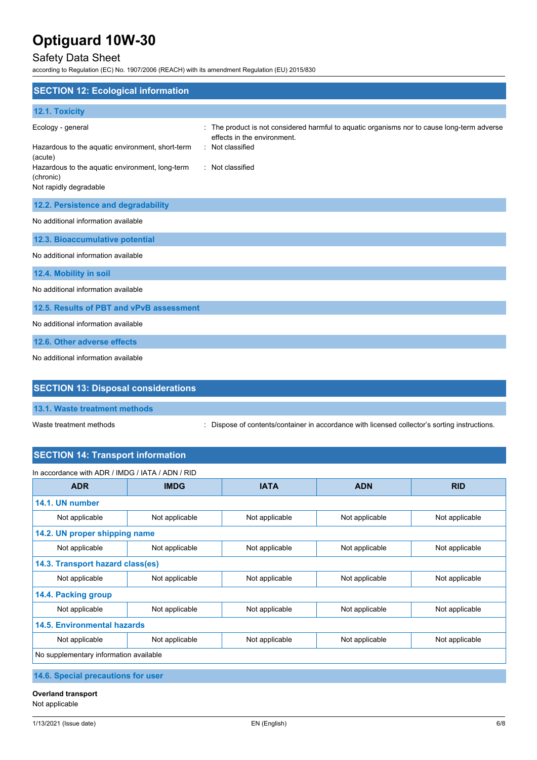# Safety Data Sheet

according to Regulation (EC) No. 1907/2006 (REACH) with its amendment Regulation (EU) 2015/830

| <b>SECTION 12: Ecological information</b>                                                                                                                                  |                                                                                                                                                                  |
|----------------------------------------------------------------------------------------------------------------------------------------------------------------------------|------------------------------------------------------------------------------------------------------------------------------------------------------------------|
| 12.1. Toxicity                                                                                                                                                             |                                                                                                                                                                  |
| Ecology - general<br>Hazardous to the aquatic environment, short-term<br>(acute)<br>Hazardous to the aquatic environment, long-term<br>(chronic)<br>Not rapidly degradable | The product is not considered harmful to aquatic organisms nor to cause long-term adverse<br>effects in the environment.<br>: Not classified<br>: Not classified |
| 12.2. Persistence and degradability                                                                                                                                        |                                                                                                                                                                  |
| No additional information available                                                                                                                                        |                                                                                                                                                                  |
| 12.3. Bioaccumulative potential                                                                                                                                            |                                                                                                                                                                  |
| No additional information available                                                                                                                                        |                                                                                                                                                                  |
| 12.4. Mobility in soil                                                                                                                                                     |                                                                                                                                                                  |
| No additional information available                                                                                                                                        |                                                                                                                                                                  |
| 12.5. Results of PBT and vPvB assessment                                                                                                                                   |                                                                                                                                                                  |
| No additional information available                                                                                                                                        |                                                                                                                                                                  |
| 12.6. Other adverse effects                                                                                                                                                |                                                                                                                                                                  |
| No additional information available                                                                                                                                        |                                                                                                                                                                  |
| <b>SECTION 13: Disposal considerations</b>                                                                                                                                 |                                                                                                                                                                  |

Waste treatment methods : Dispose of contents/container in accordance with licensed collector's sorting instructions.

# **SECTION 14: Transport information**

| In accordance with ADR / IMDG / IATA / ADN / RID     |                |                |                |                |
|------------------------------------------------------|----------------|----------------|----------------|----------------|
| <b>ADR</b>                                           | <b>IMDG</b>    | <b>IATA</b>    | <b>ADN</b>     | <b>RID</b>     |
| 14.1. UN number                                      |                |                |                |                |
| Not applicable                                       | Not applicable | Not applicable | Not applicable | Not applicable |
| 14.2. UN proper shipping name                        |                |                |                |                |
| Not applicable                                       | Not applicable | Not applicable | Not applicable | Not applicable |
| 14.3. Transport hazard class(es)                     |                |                |                |                |
| Not applicable                                       | Not applicable | Not applicable | Not applicable | Not applicable |
| 14.4. Packing group                                  |                |                |                |                |
| Not applicable                                       | Not applicable | Not applicable | Not applicable | Not applicable |
| <b>14.5. Environmental hazards</b>                   |                |                |                |                |
| Not applicable                                       | Not applicable | Not applicable | Not applicable | Not applicable |
| No supplementary information available               |                |                |                |                |
| <b>AAC</b> Considering on the continues for the con- |                |                |                |                |

**14.6. Special precautions for user**

**Overland transport** Not applicable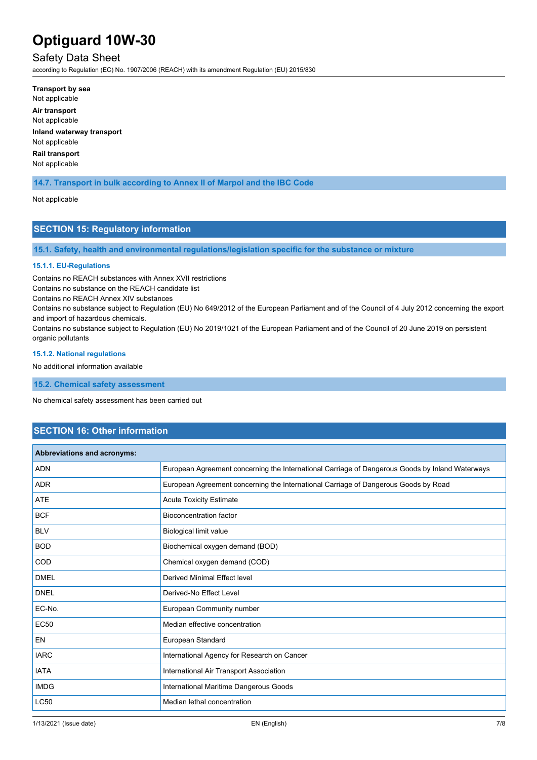# Safety Data Sheet

according to Regulation (EC) No. 1907/2006 (REACH) with its amendment Regulation (EU) 2015/830

**Transport by sea** Not applicable **Air transport** Not applicable **Inland waterway transport** Not applicable **Rail transport** Not applicable

## **14.7. Transport in bulk according to Annex II of Marpol and the IBC Code**

#### Not applicable

## **SECTION 15: Regulatory information**

**15.1. Safety, health and environmental regulations/legislation specific for the substance or mixture**

#### **15.1.1. EU-Regulations**

Contains no REACH substances with Annex XVII restrictions

Contains no substance on the REACH candidate list

Contains no REACH Annex XIV substances

Contains no substance subject to Regulation (EU) No 649/2012 of the European Parliament and of the Council of 4 July 2012 concerning the export and import of hazardous chemicals.

Contains no substance subject to Regulation (EU) No 2019/1021 of the European Parliament and of the Council of 20 June 2019 on persistent organic pollutants

#### **15.1.2. National regulations**

No additional information available

**15.2. Chemical safety assessment**

No chemical safety assessment has been carried out

# **SECTION 16: Other information**

| Abbreviations and acronyms: |                                                                                                 |
|-----------------------------|-------------------------------------------------------------------------------------------------|
| <b>ADN</b>                  | European Agreement concerning the International Carriage of Dangerous Goods by Inland Waterways |
| <b>ADR</b>                  | European Agreement concerning the International Carriage of Dangerous Goods by Road             |
| <b>ATE</b>                  | <b>Acute Toxicity Estimate</b>                                                                  |
| <b>BCF</b>                  | <b>Bioconcentration factor</b>                                                                  |
| <b>BLV</b>                  | Biological limit value                                                                          |
| <b>BOD</b>                  | Biochemical oxygen demand (BOD)                                                                 |
| COD                         | Chemical oxygen demand (COD)                                                                    |
| <b>DMEL</b>                 | Derived Minimal Effect level                                                                    |
| <b>DNEL</b>                 | Derived-No Effect Level                                                                         |
| EC-No.                      | European Community number                                                                       |
| <b>EC50</b>                 | Median effective concentration                                                                  |
| <b>EN</b>                   | European Standard                                                                               |
| <b>IARC</b>                 | International Agency for Research on Cancer                                                     |
| <b>IATA</b>                 | International Air Transport Association                                                         |
| <b>IMDG</b>                 | International Maritime Dangerous Goods                                                          |
| <b>LC50</b>                 | Median lethal concentration                                                                     |